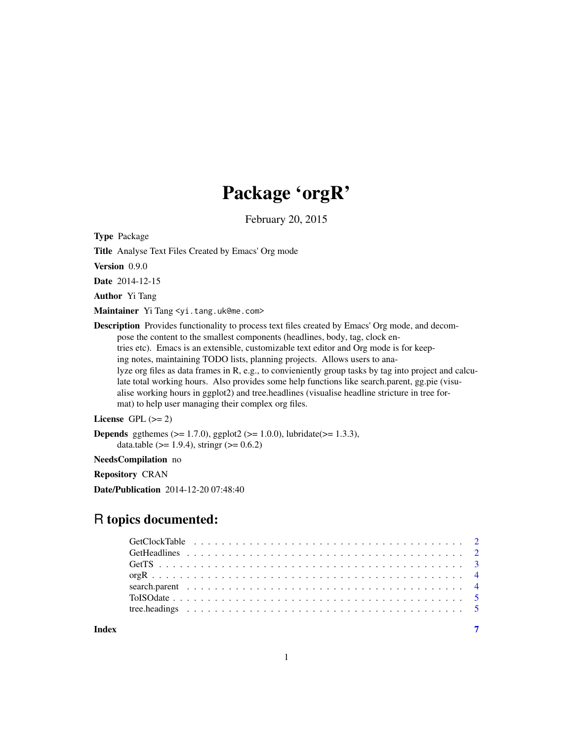# Package 'orgR'

February 20, 2015

Type Package

Title Analyse Text Files Created by Emacs' Org mode

Version 0.9.0

Date 2014-12-15

Author Yi Tang

Maintainer Yi Tang <yi.tang.uk@me.com>

Description Provides functionality to process text files created by Emacs' Org mode, and decompose the content to the smallest components (headlines, body, tag, clock entries etc). Emacs is an extensible, customizable text editor and Org mode is for keeping notes, maintaining TODO lists, planning projects. Allows users to analyze org files as data frames in R, e.g., to convieniently group tasks by tag into project and calculate total working hours. Also provides some help functions like search.parent, gg.pie (visualise working hours in ggplot2) and tree.headlines (visualise headline stricture in tree format) to help user managing their complex org files.

# License GPL  $(>= 2)$

**Depends** ggthemes ( $>= 1.7.0$ ), ggplot2 ( $>= 1.0.0$ ), lubridate( $>= 1.3.3$ ), data.table ( $>= 1.9.4$ ), stringr ( $>= 0.6.2$ )

#### NeedsCompilation no

Repository CRAN

Date/Publication 2014-12-20 07:48:40

# R topics documented:

**Index** [7](#page-6-0) **7**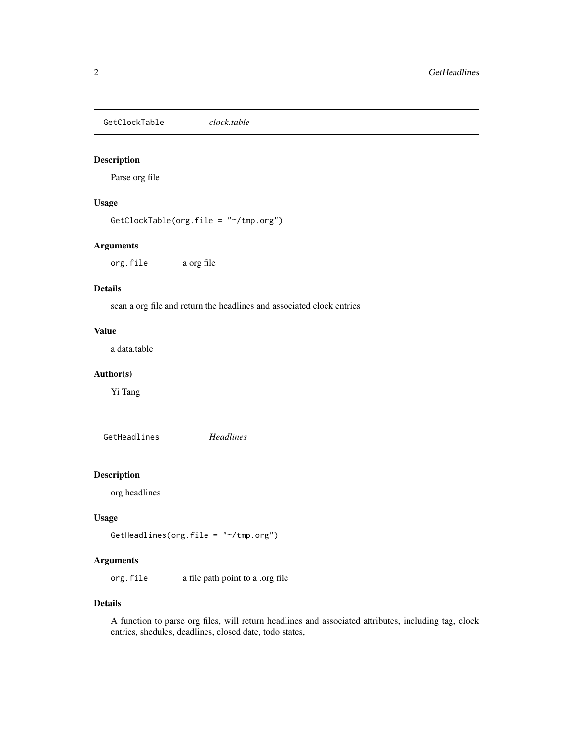<span id="page-1-0"></span>GetClockTable *clock.table*

#### Description

Parse org file

#### Usage

GetClockTable(org.file = "~/tmp.org")

## Arguments

org.file a org file

# Details

scan a org file and return the headlines and associated clock entries

#### Value

a data.table

#### Author(s)

Yi Tang

GetHeadlines *Headlines*

#### Description

org headlines

# Usage

GetHeadlines(org.file = "~/tmp.org")

## Arguments

org.file a file path point to a .org file

#### Details

A function to parse org files, will return headlines and associated attributes, including tag, clock entries, shedules, deadlines, closed date, todo states,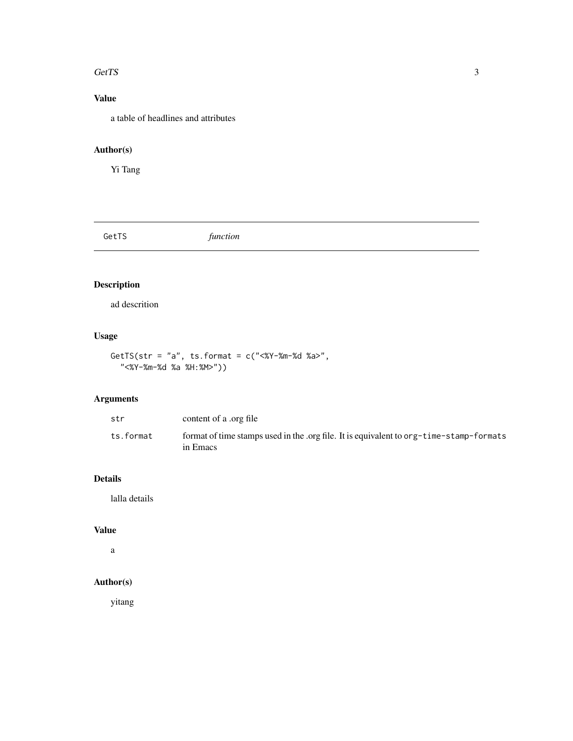#### <span id="page-2-0"></span>GetTS 3

# Value

a table of headlines and attributes

# Author(s)

Yi Tang

GetTS *function*

# Description

ad descrition

# Usage

GetTS(str = "a", ts.format = c("<%Y-%m-%d %a>", "<%Y-%m-%d %a %H:%M>"))

# Arguments

| str       | content of a .org file                                                                              |
|-----------|-----------------------------------------------------------------------------------------------------|
| ts.format | format of time stamps used in the .org file. It is equivalent to org-time-stamp-formats<br>in Emacs |

# Details

lalla details

## Value

a

# Author(s)

yitang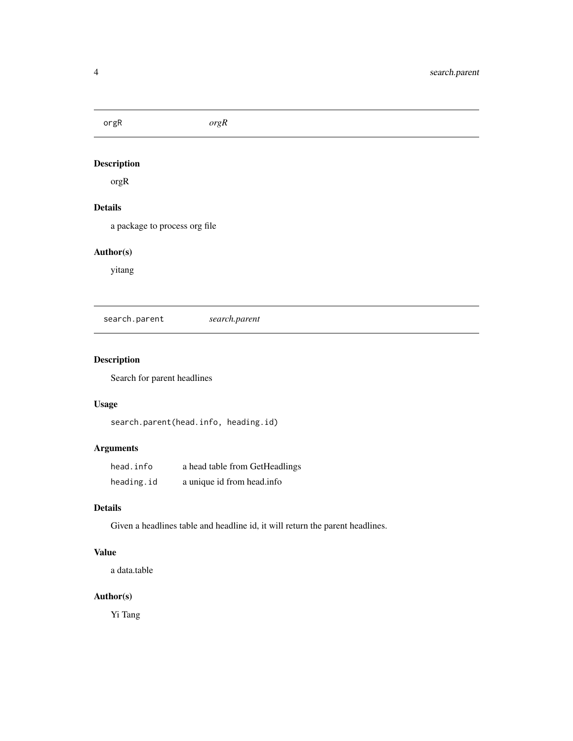<span id="page-3-0"></span>orgR *orgR*

# Description

orgR

# Details

a package to process org file

# Author(s)

yitang

search.parent *search.parent*

# Description

Search for parent headlines

# Usage

search.parent(head.info, heading.id)

# Arguments

| head.info  | a head table from GetHeadlings |
|------------|--------------------------------|
| heading.id | a unique id from head.info     |

#### Details

Given a headlines table and headline id, it will return the parent headlines.

# Value

a data.table

## Author(s)

Yi Tang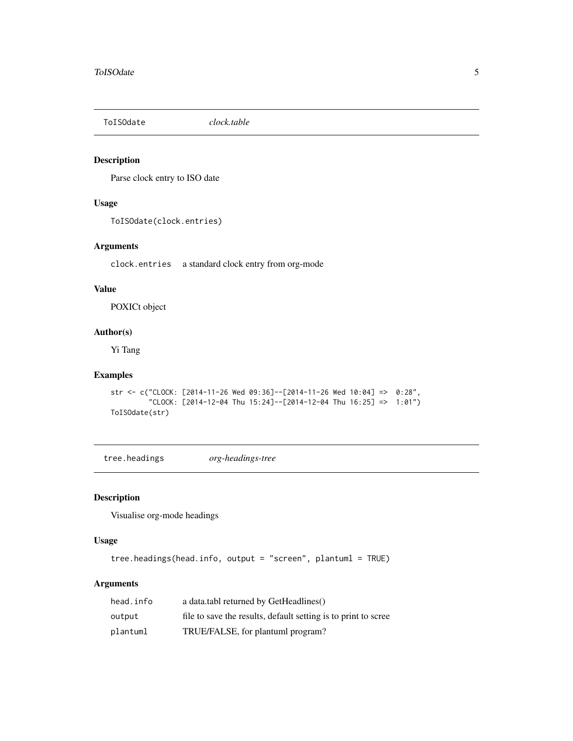<span id="page-4-0"></span>

## Description

Parse clock entry to ISO date

#### Usage

ToISOdate(clock.entries)

# Arguments

clock.entries a standard clock entry from org-mode

# Value

POXICt object

#### Author(s)

Yi Tang

## Examples

```
str <- c("CLOCK: [2014-11-26 Wed 09:36]--[2014-11-26 Wed 10:04] => 0:28",
         "CLOCK: [2014-12-04 Thu 15:24]--[2014-12-04 Thu 16:25] => 1:01")
ToISOdate(str)
```
tree.headings *org-headings-tree*

## Description

Visualise org-mode headings

# Usage

```
tree.headings(head.info, output = "screen", plantuml = TRUE)
```
#### Arguments

| head.info | a data.tabl returned by GetHeadlines()                         |
|-----------|----------------------------------------------------------------|
| output    | file to save the results, default setting is to print to scree |
| plantuml  | TRUE/FALSE, for plantuml program?                              |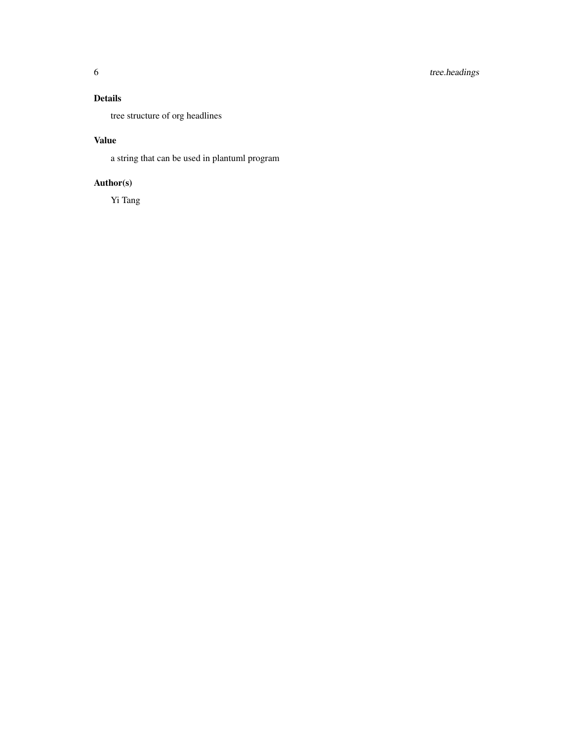# Details

tree structure of org headlines

# Value

a string that can be used in plantuml program

# Author(s)

Yi Tang